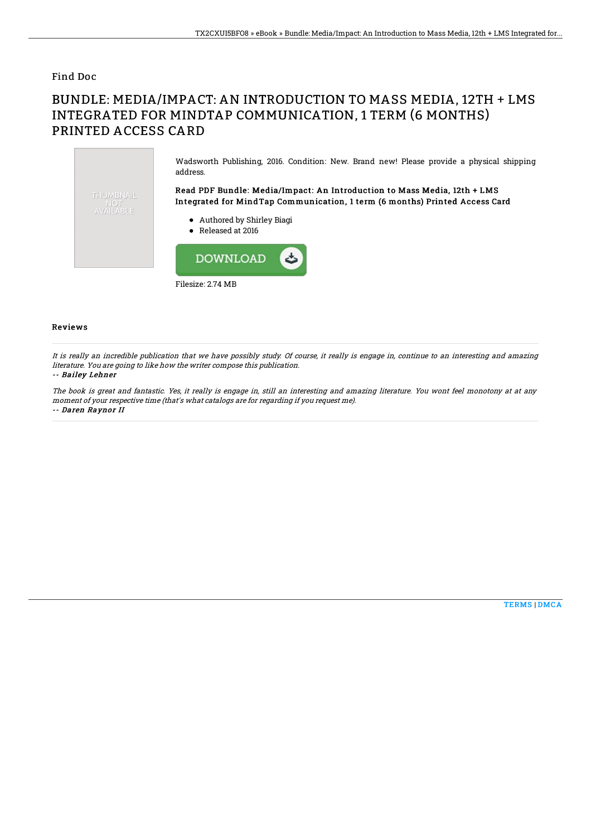### Find Doc

# BUNDLE: MEDIA/IMPACT: AN INTRODUCTION TO MASS MEDIA, 12TH + LMS INTEGRATED FOR MINDTAP COMMUNICATION, 1 TERM (6 MONTHS) PRINTED ACCESS CARD



#### Reviews

It is really an incredible publication that we have possibly study. Of course, it really is engage in, continue to an interesting and amazing literature. You are going to like how the writer compose this publication.

#### -- Bailey Lehner

The book is great and fantastic. Yes, it really is engage in, still an interesting and amazing literature. You wont feel monotony at at any moment of your respective time (that's what catalogs are for regarding if you request me). -- Daren Raynor II